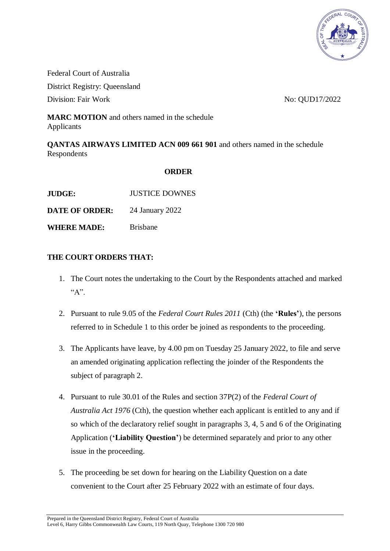

Federal Court of Australia District Registry: Queensland Division: Fair Work No. 2010 17/2022

**MARC MOTION** and others named in the schedule Applicants

**QANTAS AIRWAYS LIMITED ACN 009 661 901** and others named in the schedule Respondents

## **ORDER**

| <b>JUDGE:</b>         | <b>JUSTICE DOWNES</b> |
|-----------------------|-----------------------|
| <b>DATE OF ORDER:</b> | 24 January 2022       |
| <b>WHERE MADE:</b>    | <b>Brishane</b>       |

## **THE COURT ORDERS THAT:**

- 1. The Court notes the undertaking to the Court by the Respondents attached and marked  $A$ ".
- 2. Pursuant to rule 9.05 of the *Federal Court Rules 2011* (Cth) (the **'Rules'**), the persons referred to in Schedule 1 to this order be joined as respondents to the proceeding.
- 3. The Applicants have leave, by 4.00 pm on Tuesday 25 January 2022, to file and serve an amended originating application reflecting the joinder of the Respondents the subject of paragraph 2.
- 4. Pursuant to rule 30.01 of the Rules and section 37P(2) of the *Federal Court of Australia Act 1976* (Cth), the question whether each applicant is entitled to any and if so which of the declaratory relief sought in paragraphs 3, 4, 5 and 6 of the Originating Application (**'Liability Question'**) be determined separately and prior to any other issue in the proceeding.
- 5. The proceeding be set down for hearing on the Liability Question on a date convenient to the Court after 25 February 2022 with an estimate of four days.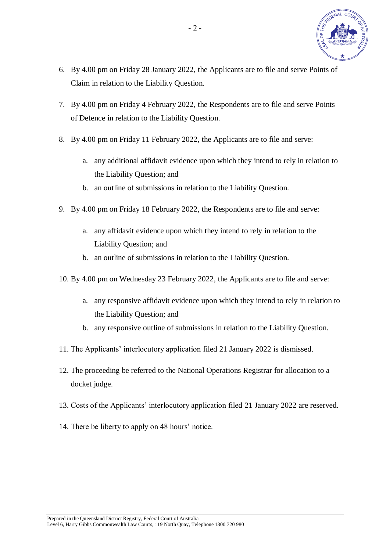

- 6. By 4.00 pm on Friday 28 January 2022, the Applicants are to file and serve Points of Claim in relation to the Liability Question.
- 7. By 4.00 pm on Friday 4 February 2022, the Respondents are to file and serve Points of Defence in relation to the Liability Question.
- 8. By 4.00 pm on Friday 11 February 2022, the Applicants are to file and serve:
	- a. any additional affidavit evidence upon which they intend to rely in relation to the Liability Question; and
	- b. an outline of submissions in relation to the Liability Question.
- 9. By 4.00 pm on Friday 18 February 2022, the Respondents are to file and serve:
	- a. any affidavit evidence upon which they intend to rely in relation to the Liability Question; and
	- b. an outline of submissions in relation to the Liability Question.
- 10. By 4.00 pm on Wednesday 23 February 2022, the Applicants are to file and serve:
	- a. any responsive affidavit evidence upon which they intend to rely in relation to the Liability Question; and
	- b. any responsive outline of submissions in relation to the Liability Question.
- 11. The Applicants' interlocutory application filed 21 January 2022 is dismissed.
- 12. The proceeding be referred to the National Operations Registrar for allocation to a docket judge.
- 13. Costs of the Applicants' interlocutory application filed 21 January 2022 are reserved.
- 14. There be liberty to apply on 48 hours' notice.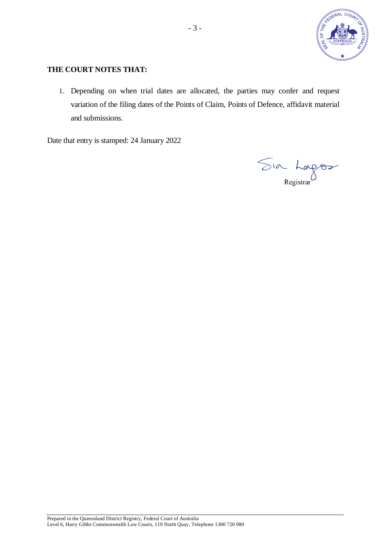

# **THE COURT NOTES THAT:**

1. Depending on when trial dates are allocated, the parties may confer and request variation of the filing dates of the Points of Claim, Points of Defence, affidavit material and submissions.

Date that entry is stamped: 24 January 2022

Sia Longos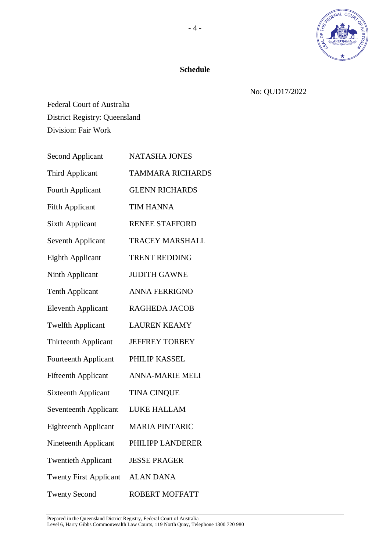

# **Schedule**

No: QUD17/2022

Federal Court of Australia District Registry: Queensland Division: Fair Work

| <b>Second Applicant</b>       | NATASHA JONES           |
|-------------------------------|-------------------------|
| Third Applicant               | <b>TAMMARA RICHARDS</b> |
| Fourth Applicant              | <b>GLENN RICHARDS</b>   |
| <b>Fifth Applicant</b>        | <b>TIM HANNA</b>        |
| <b>Sixth Applicant</b>        | <b>RENEE STAFFORD</b>   |
| <b>Seventh Applicant</b>      | <b>TRACEY MARSHALL</b>  |
| <b>Eighth Applicant</b>       | <b>TRENT REDDING</b>    |
| Ninth Applicant               | <b>JUDITH GAWNE</b>     |
| <b>Tenth Applicant</b>        | <b>ANNA FERRIGNO</b>    |
| <b>Eleventh Applicant</b>     | <b>RAGHEDA JACOB</b>    |
| <b>Twelfth Applicant</b>      | <b>LAUREN KEAMY</b>     |
| <b>Thirteenth Applicant</b>   | <b>JEFFREY TORBEY</b>   |
| <b>Fourteenth Applicant</b>   | PHILIP KASSEL           |
| <b>Fifteenth Applicant</b>    | <b>ANNA-MARIE MELI</b>  |
| <b>Sixteenth Applicant</b>    | <b>TINA CINQUE</b>      |
| Seventeenth Applicant         | LUKE HALLAM             |
| <b>Eighteenth Applicant</b>   | <b>MARIA PINTARIC</b>   |
| Nineteenth Applicant          | PHILIPP LANDERER        |
| <b>Twentieth Applicant</b>    | <b>JESSE PRAGER</b>     |
| <b>Twenty First Applicant</b> | <b>ALAN DANA</b>        |
| <b>Twenty Second</b>          | <b>ROBERT MOFFATT</b>   |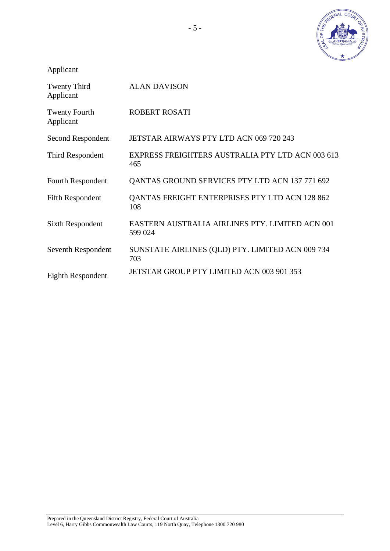

Applicant

| Twenty Third<br>Applicant         | <b>ALAN DAVISON</b>                                        |
|-----------------------------------|------------------------------------------------------------|
| <b>Twenty Fourth</b><br>Applicant | <b>ROBERT ROSATI</b>                                       |
| Second Respondent                 | JETSTAR AIRWAYS PTY LTD ACN 069 720 243                    |
| Third Respondent                  | EXPRESS FREIGHTERS AUSTRALIA PTY LTD ACN 003 613<br>465    |
| Fourth Respondent                 | QANTAS GROUND SERVICES PTY LTD ACN 137 771 692             |
| <b>Fifth Respondent</b>           | QANTAS FREIGHT ENTERPRISES PTY LTD ACN 128 862<br>108      |
| <b>Sixth Respondent</b>           | EASTERN AUSTRALIA AIRLINES PTY. LIMITED ACN 001<br>599 024 |
| Seventh Respondent                | SUNSTATE AIRLINES (QLD) PTY. LIMITED ACN 009 734<br>703    |
| Eighth Respondent                 | JETSTAR GROUP PTY LIMITED ACN 003 901 353                  |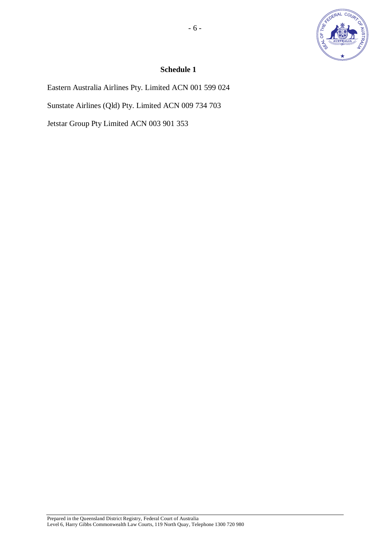

# **Schedule 1**

Eastern Australia Airlines Pty. Limited ACN 001 599 024 Sunstate Airlines (Qld) Pty. Limited ACN 009 734 703 Jetstar Group Pty Limited ACN 003 901 353